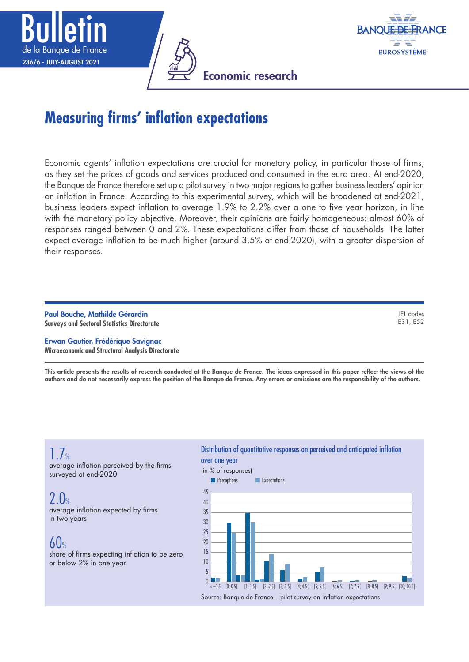





# **Measuring firms' inflation expectations**

Economic agents' inflation expectations are crucial for monetary policy, in particular those of firms, as they set the prices of goods and services produced and consumed in the euro area. At end-2020, the Banque de France therefore set up a pilot survey in two major regions to gather business leaders' opinion on inflation in France. According to this experimental survey, which will be broadened at end-2021, business leaders expect inflation to average 1.9% to 2.2% over a one to five year horizon, in line with the monetary policy objective. Moreover, their opinions are fairly homogeneous: almost 60% of responses ranged between 0 and 2%. These expectations differ from those of households. The latter expect average inflation to be much higher (around 3.5% at end-2020), with a greater dispersion of their responses.

Paul Bouche, Mathilde Gérardin **Surveys and Sectoral Statistics Directorate**

JEL codes E31, E52

Erwan Gautier, Frédérique Savignac **Microeconomic and Structural Analysis Directorate**

This article presents the results of research conducted at the Banque de France. The ideas expressed in this paper reflect the views of the authors and do not necessarily express the position of the Banque de France. Any errors or omissions are the responsibility of the authors.

## $\frac{1}{2}$ %

average inflation perceived by the firms surveyed at end-2020

 $2.0%$ average inflation expected by firms in two years

 $60%$ 

share of firms expecting inflation to be zero or below 2% in one year

#### Distribution of quantitative responses on perceived and anticipated inflation over one year

(in % of responses)

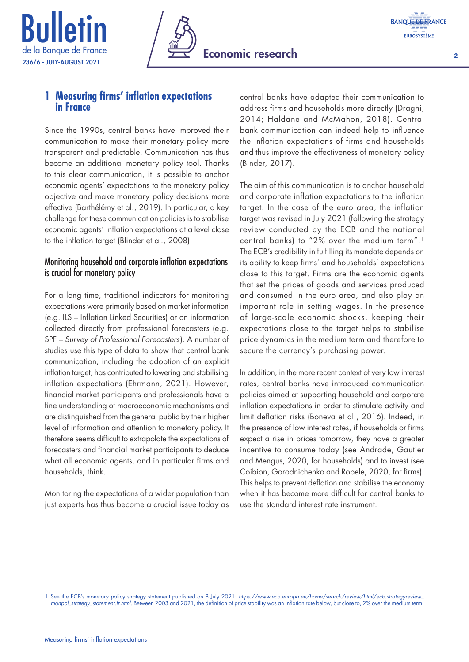





 $\overline{2}$ 

## **1 Measuring firms' inflation expectations in France**

Since the 1990s, central banks have improved their communication to make their monetary policy more transparent and predictable. Communication has thus become an additional monetary policy tool. Thanks to this clear communication, it is possible to anchor economic agents' expectations to the monetary policy objective and make monetary policy decisions more effective (Barthélémy et al., 2019). In particular, a key challenge for these communication policies is to stabilise economic agents' inflation expectations at a level close to the inflation target (Blinder et al., 2008).

## Monitoring household and corporate inflation expectations is crucial for monetary policy

For a long time, traditional indicators for monitoring expectations were primarily based on market information (e.g. ILS – Inflation Linked Securities) or on information collected directly from professional forecasters (e.g. SPF – *Survey of Professional Forecasters*). A number of studies use this type of data to show that central bank communication, including the adoption of an explicit inflation target, has contributed to lowering and stabilising inflation expectations (Ehrmann, 2021). However, financial market participants and professionals have a fine understanding of macroeconomic mechanisms and are distinguished from the general public by their higher level of information and attention to monetary policy. It therefore seems difficult to extrapolate the expectations of forecasters and financial market participants to deduce what all economic agents, and in particular firms and households, think.

Monitoring the expectations of a wider population than just experts has thus become a crucial issue today as central banks have adapted their communication to address firms and households more directly (Draghi, 2014; Haldane and McMahon, 2018). Central bank communication can indeed help to influence the inflation expectations of firms and households and thus improve the effectiveness of monetary policy (Binder, 2017).

The aim of this communication is to anchor household and corporate inflation expectations to the inflation target. In the case of the euro area, the inflation target was revised in July 2021 (following the strategy review conducted by the ECB and the national central banks) to "2% over the medium term".1 The ECB's credibility in fulfilling its mandate depends on its ability to keep firms' and households' expectations close to this target. Firms are the economic agents that set the prices of goods and services produced and consumed in the euro area, and also play an important role in setting wages. In the presence of large-scale economic shocks, keeping their expectations close to the target helps to stabilise price dynamics in the medium term and therefore to secure the currency's purchasing power.

In addition, in the more recent context of very low interest rates, central banks have introduced communication policies aimed at supporting household and corporate inflation expectations in order to stimulate activity and limit deflation risks (Boneva et al., 2016). Indeed, in the presence of low interest rates, if households or firms expect a rise in prices tomorrow, they have a greater incentive to consume today (see Andrade, Gautier and Mengus, 2020, for households) and to invest (see Coibion, Gorodnichenko and Ropele, 2020, for firms). This helps to prevent deflation and stabilise the economy when it has become more difficult for central banks to use the standard interest rate instrument.

1 See the ECB's monetary policy strategy statement published on 8 July 2021: *[https://www.ecb.europa.eu/home/search/review/html/ecb.strategyreview\\_](https://www.ecb.europa.eu/home/search/review/html/ecb.strategyreview_monpol_strategy_statement.fr.html) [monpol\\_strategy\\_statement.fr.html](https://www.ecb.europa.eu/home/search/review/html/ecb.strategyreview_monpol_strategy_statement.fr.html)*. Between 2003 and 2021, the definition of price stability was an inflation rate below, but close to, 2% over the medium term.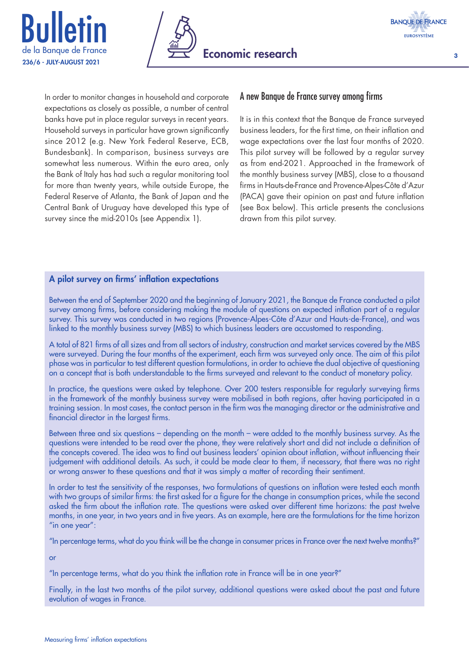





In order to monitor changes in household and corporate expectations as closely as possible, a number of central banks have put in place regular surveys in recent years. Household surveys in particular have grown significantly since 2012 (e.g. New York Federal Reserve, ECB, Bundesbank). In comparison, business surveys are somewhat less numerous. Within the euro area, only the Bank of Italy has had such a regular monitoring tool for more than twenty years, while outside Europe, the Federal Reserve of Atlanta, the Bank of Japan and the Central Bank of Uruguay have developed this type of survey since the mid-2010s (see Appendix 1).

#### A new Banque de France survey among firms

It is in this context that the Banque de France surveyed business leaders, for the first time, on their inflation and wage expectations over the last four months of 2020. This pilot survey will be followed by a regular survey as from end-2021. Approached in the framework of the monthly business survey (MBS), close to a thousand firms in Hauts-de-France and Provence-Alpes-Côte d'Azur (PACA) gave their opinion on past and future inflation (see Box below). This article presents the conclusions drawn from this pilot survey.

#### A pilot survey on firms' inflation expectations

Between the end of September 2020 and the beginning of January 2021, the Banque de France conducted a pilot survey among firms, before considering making the module of questions on expected inflation part of a regular survey. This survey was conducted in two regions (Provence‑Alpes‑Côte d'Azur and Hauts‑de‑France), and was linked to the monthly business survey (MBS) to which business leaders are accustomed to responding.

A total of 821 firms of all sizes and from all sectors of industry, construction and market services covered by the MBS were surveyed. During the four months of the experiment, each firm was surveyed only once. The aim of this pilot phase was in particular to test different question formulations, in order to achieve the dual objective of questioning on a concept that is both understandable to the firms surveyed and relevant to the conduct of monetary policy.

In practice, the questions were asked by telephone. Over 200 testers responsible for regularly surveying firms in the framework of the monthly business survey were mobilised in both regions, after having participated in a training session. In most cases, the contact person in the firm was the managing director or the administrative and financial director in the largest firms.

Between three and six questions – depending on the month – were added to the monthly business survey. As the questions were intended to be read over the phone, they were relatively short and did not include a definition of the concepts covered. The idea was to find out business leaders' opinion about inflation, without influencing their judgement with additional details. As such, it could be made clear to them, if necessary, that there was no right or wrong answer to these questions and that it was simply a matter of recording their sentiment.

In order to test the sensitivity of the responses, two formulations of questions on inflation were tested each month with two groups of similar firms: the first asked for a figure for the change in consumption prices, while the second asked the firm about the inflation rate. The questions were asked over different time horizons: the past twelve months, in one year, in two years and in five years. As an example, here are the formulations for the time horizon "in one year":

"In percentage terms, what do you think will be the change in consumer prices in France over the next twelve months?"

or

"In percentage terms, what do you think the inflation rate in France will be in one year?"

Finally, in the last two months of the pilot survey, additional questions were asked about the past and future evolution of wages in France.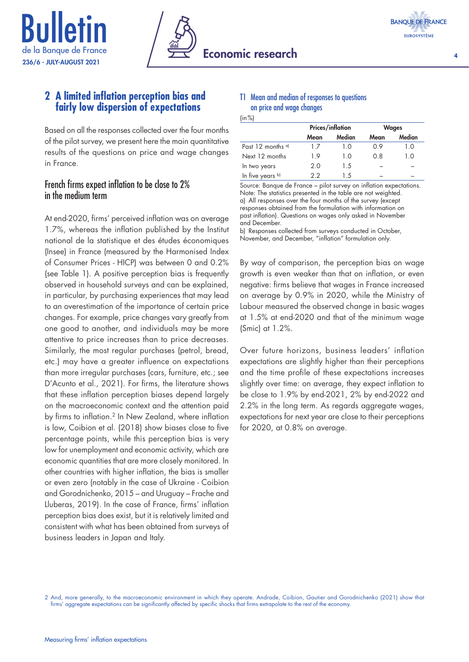





## **2 A limited inflation perception bias and fairly low dispersion of expectations**

Based on all the responses collected over the four months of the pilot survey, we present here the main quantitative results of the questions on price and wage changes in France.

#### French firms expect inflation to be close to 2% in the medium term

At end-2020, firms' perceived inflation was on average 1.7%, whereas the inflation published by the Institut national de la statistique et des études économiques (Insee) in France (measured by the Harmonised Index of Consumer Prices - HICP) was between 0 and 0.2% (see Table 1). A positive perception bias is frequently observed in household surveys and can be explained, in particular, by purchasing experiences that may lead to an overestimation of the importance of certain price changes. For example, price changes vary greatly from one good to another, and individuals may be more attentive to price increases than to price decreases. Similarly, the most regular purchases (petrol, bread, etc.) may have a greater influence on expectations than more irregular purchases (cars, furniture, etc.; see D'Acunto et al., 2021). For firms, the literature shows that these inflation perception biases depend largely on the macroeconomic context and the attention paid by firms to inflation.<sup>2</sup> In New Zealand, where inflation is low, Coibion et al. (2018) show biases close to five percentage points, while this perception bias is very low for unemployment and economic activity, which are economic quantities that are more closely monitored. In other countries with higher inflation, the bias is smaller or even zero (notably in the case of Ukraine - Coibion and Gorodnichenko, 2015 – and Uruguay – Frache and Lluberas, 2019). In the case of France, firms' inflation perception bias does exist, but it is relatively limited and consistent with what has been obtained from surveys of business leaders in Japan and Italy.

#### T1 Mean and median of responses to questions on price and wage changes

| (in %) |  |  |
|--------|--|--|
|        |  |  |

|                    | <b>Prices/inflation</b> |        | <b>Wages</b> |        |  |
|--------------------|-------------------------|--------|--------------|--------|--|
|                    | Mean                    | Median | Mean         | Median |  |
| Past 12 months $a$ | 17                      | 10     | 0.9          | 1.0    |  |
| Next 12 months     | 19                      | 10     | 0.8          | 1.0    |  |
| In two years       | 2.0                     | 1.5    |              |        |  |
| In five years b)   | 22                      | 1.5    |              |        |  |

Source: Banque de France – pilot survey on inflation expectations. Note: The statistics presented in the table are not weighted. a) All responses over the four months of the survey (except responses obtained from the formulation with information on past inflation). Questions on wages only asked in November and December.

b) Responses collected from surveys conducted in October, November, and December, "inflation" formulation only.

By way of comparison, the perception bias on wage growth is even weaker than that on inflation, or even negative: firms believe that wages in France increased on average by 0.9% in 2020, while the Ministry of Labour measured the observed change in basic wages at 1.5% at end-2020 and that of the minimum wage (Smic) at 1.2%.

Over future horizons, business leaders' inflation expectations are slightly higher than their perceptions and the time profile of these expectations increases slightly over time: on average, they expect inflation to be close to 1.9% by end-2021, 2% by end-2022 and 2.2% in the long term. As regards aggregate wages, expectations for next year are close to their perceptions for 2020, at 0.8% on average.

<sup>2</sup> And, more generally, to the macroeconomic environment in which they operate. Andrade, Coibion, Gautier and Gorodnichenko (2021) show that firms' aggregate expectations can be significantly affected by specific shocks that firms extrapolate to the rest of the economy.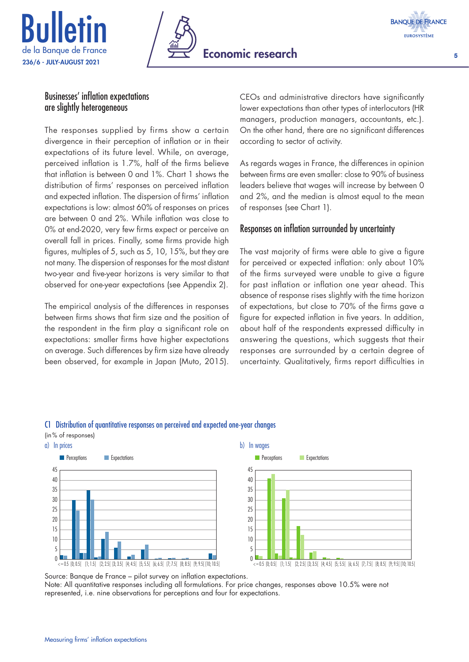





#### Businesses' inflation expectations are slightly heterogeneous

The responses supplied by firms show a certain divergence in their perception of inflation or in their expectations of its future level. While, on average, perceived inflation is 1.7%, half of the firms believe that inflation is between 0 and 1%. Chart 1 shows the distribution of firms' responses on perceived inflation and expected inflation. The dispersion of firms' inflation expectations is low: almost 60% of responses on prices are between 0 and 2%. While inflation was close to 0% at end-2020, very few firms expect or perceive an overall fall in prices. Finally, some firms provide high figures, multiples of 5, such as 5, 10, 15%, but they are not many. The dispersion of responses for the most distant two-year and five-year horizons is very similar to that observed for one-year expectations (see Appendix 2).

The empirical analysis of the differences in responses between firms shows that firm size and the position of the respondent in the firm play a significant role on expectations: smaller firms have higher expectations on average. Such differences by firm size have already been observed, for example in Japan (Muto, 2015).

CEOs and administrative directors have significantly lower expectations than other types of interlocutors (HR managers, production managers, accountants, etc.). On the other hand, there are no significant differences according to sector of activity.

As regards wages in France, the differences in opinion between firms are even smaller: close to 90% of business leaders believe that wages will increase by between 0 and 2%, and the median is almost equal to the mean of responses (see Chart 1).

## Responses on inflation surrounded by uncertainty

The vast majority of firms were able to give a figure for perceived or expected inflation: only about 10% of the firms surveyed were unable to give a figure for past inflation or inflation one year ahead. This absence of response rises slightly with the time horizon of expectations, but close to 70% of the firms gave a figure for expected inflation in five years. In addition, about half of the respondents expressed difficulty in answering the questions, which suggests that their responses are surrounded by a certain degree of uncertainty. Qualitatively, firms report difficulties in

## C1 Distribution of quantitative responses on perceived and expected one‑year changes



Source: Banque de France – pilot survey on inflation expectations.

Note: All quantitative responses including all formulations. For price changes, responses above 10.5% were not represented, i.e. nine observations for perceptions and four for expectations.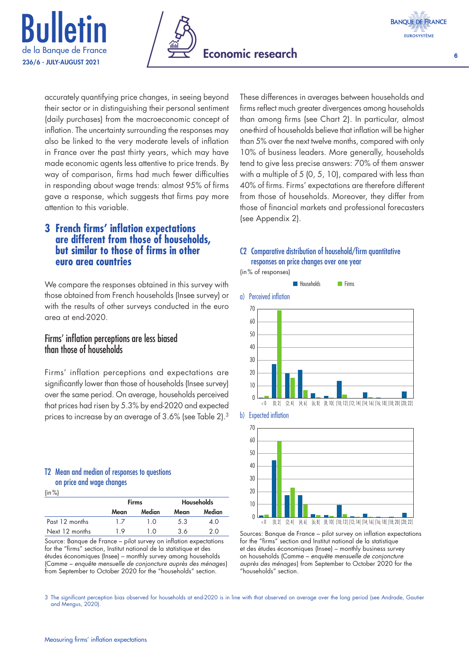





accurately quantifying price changes, in seeing beyond their sector or in distinguishing their personal sentiment (daily purchases) from the macroeconomic concept of inflation. The uncertainty surrounding the responses may also be linked to the very moderate levels of inflation in France over the past thirty years, which may have made economic agents less attentive to price trends. By way of comparison, firms had much fewer difficulties in responding about wage trends: almost 95% of firms gave a response, which suggests that firms pay more attention to this variable.

## **3 French firms' inflation expectations are different from those of households, but similar to those of firms in other euro area countries**

We compare the responses obtained in this survey with those obtained from French households (Insee survey) or with the results of other surveys conducted in the euro area at end-2020.

## Firms' inflation perceptions are less biased than those of households

Firms' inflation perceptions and expectations are significantly lower than those of households (Insee survey) over the same period. On average, households perceived that prices had risen by 5.3% by end-2020 and expected prices to increase by an average of 3.6% (see Table 2).3

#### T2 Mean and median of responses to questions on price and wage changes

 $\ln \%$ 

|                |      | <b>Firms</b> | <b>Households</b> |        |  |
|----------------|------|--------------|-------------------|--------|--|
|                | Mean | Median       | Mean              | Median |  |
| Past 12 months | 17   | 10           | 5.3               | 4.0    |  |
| Next 12 months | 1 Q  | 1 ດ          | 36                | 2 O    |  |

Source: Banque de France – pilot survey on inflation expectations for the "firms" section, Institut national de la statistique et des études économiques (Insee) – monthly survey among households (Camme – *enquête mensuelle de conjoncture auprès des ménages*) from September to October 2020 for the "households" section.

These differences in averages between households and firms reflect much greater divergences among households than among firms (see Chart 2). In particular, almost one-third of households believe that inflation will be higher than 5% over the next twelve months, compared with only 10% of business leaders. More generally, households tend to give less precise answers: 70% of them answer with a multiple of 5 (0, 5, 10), compared with less than 40% of firms. Firms' expectations are therefore different from those of households. Moreover, they differ from those of financial markets and professional forecasters (see Appendix 2).

#### C2 Comparative distribution of household/firm quantitative responses on price changes over one year

(in% of responses)











Sources: Banque de France – pilot survey on inflation expectations for the "firms" section and Institut national de la statistique et des études économiques (Insee) – monthly business survey on households (Camme – *enquête mensuelle de conjoncture auprès des ménages*) from September to October 2020 for the "households" section.

3 The significant perception bias observed for households at end-2020 is in line with that observed on average over the long period (see Andrade, Gautier and Mengus, 2020).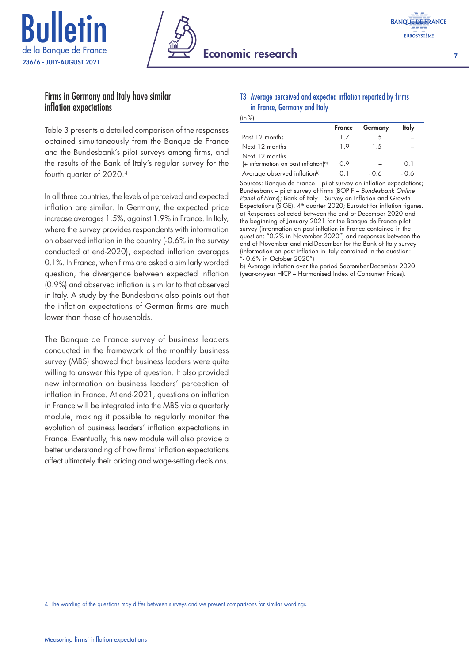





#### Firms in Germany and Italy have similar inflation expectations

Table 3 presents a detailed comparison of the responses obtained simultaneously from the Banque de France and the Bundesbank's pilot surveys among firms, and the results of the Bank of Italy's regular survey for the fourth quarter of 2020.4

In all three countries, the levels of perceived and expected inflation are similar. In Germany, the expected price increase averages 1.5%, against 1.9% in France. In Italy, where the survey provides respondents with information on observed inflation in the country (- 0.6% in the survey conducted at end-2020), expected inflation averages 0.1%. In France, when firms are asked a similarly worded question, the divergence between expected inflation (0.9%) and observed inflation is similar to that observed in Italy. A study by the Bundesbank also points out that the inflation expectations of German firms are much lower than those of households.

The Banque de France survey of business leaders conducted in the framework of the monthly business survey (MBS) showed that business leaders were quite willing to answer this type of question. It also provided new information on business leaders' perception of inflation in France. At end-2021, questions on inflation in France will be integrated into the MBS via a quarterly module, making it possible to regularly monitor the evolution of business leaders' inflation expectations in France. Eventually, this new module will also provide a better understanding of how firms' inflation expectations affect ultimately their pricing and wage-setting decisions.

#### T3 Average perceived and expected inflation reported by firms in France, Germany and Italy

 $(in %)$ 

|                                                                     | <b>France</b> | Germany | Italy |
|---------------------------------------------------------------------|---------------|---------|-------|
| Past 12 months                                                      | 17            | 15      |       |
| Next 12 months                                                      | 19            | 15      |       |
| Next 12 months<br>$(+$ information on past inflation) <sup>a)</sup> | 0.9           |         | 0.1   |
|                                                                     |               |         |       |
| Average observed inflation <sup>b)</sup>                            |               | - 0 6   | - 0 6 |

Sources: Banque de France – pilot survey on inflation expectations; Bundesbank – pilot survey of firms (BOP F – *Bundesbank Online Panel of Firms*); Bank of Italy – Survey on Inflation and Growth Expectations (SIGE),  $4<sup>th</sup>$  quarter 2020; Eurostat for inflation figures. a) Responses collected between the end of December 2020 and the beginning of January 2021 for the Banque de France pilot survey (information on past inflation in France contained in the question: "0.2% in November 2020") and responses between the end of November and mid-December for the Bank of Italy survey (information on past inflation in Italy contained in the question: "- 0.6% in October 2020")

b) Average inflation over the period September-December 2020 (year-on-year HICP – Harmonised Index of Consumer Prices).

4 The wording of the questions may differ between surveys and we present comparisons for similar wordings.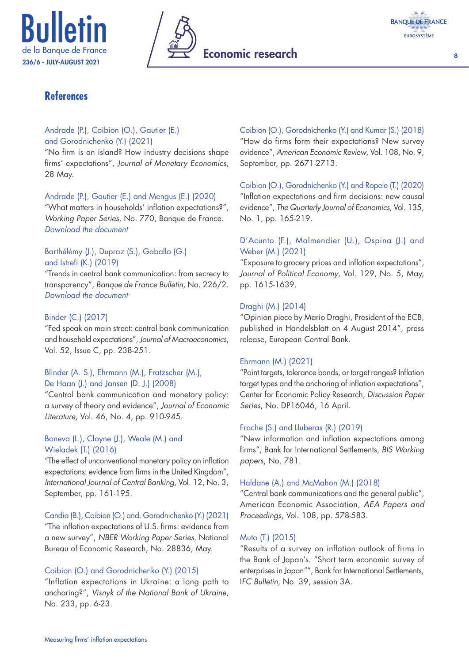





## **References**

#### Andrade (P.), Coibion (O.), Gautier (E.) and Gorodnichenko (Y.) (2021)

"No firm is an island? How industry decisions shape firms' expectations", *Journal of Monetary Economics*, 28 May.

#### Andrade (P.), Gautier (E.) and Mengus (E.) (2020)

"What matters in households' inflation expectations?", *Working Paper Series*, No. 770, Banque de France. *[Download the document](https://publications.banque-france.fr/quest-ce-qui-importe-dans-les-anticipations-dinflation-des-menages)*

#### Barthélémy (J.), Dupraz (S.), Gaballo (G.) and Istrefi (K.) (2019)

"Trends in central bank communication: from secrecy to transparency", *Banque de France Bulletin*, No. 226/2. *[Download the document](https://publications.banque-france.fr/sites/default/files/medias/documents/819344_bdf226-2_secret_transparence_v7.pdf)*

#### Binder (C.) (2017)

"Fed speak on main street: central bank communication and household expectations", *Journal of Macroeconomics*, Vol. 52, Issue C, pp. 238-251.

#### Blinder (A. S.), Ehrmann (M.), Fratzscher (M.), De Haan (J.) and Jansen (D. J.) (2008)

"Central bank communication and monetary policy: a survey of theory and evidence", *Journal of Economic Literature*, Vol. 46, No. 4, pp. 910-945.

#### Boneva (L.), Cloyne (J.), Weale (M.) and Wieladek (T.) (2016)

"The effect of unconventional monetary policy on inflation expectations: evidence from firms in the United Kingdom", *International Journal of Central Banking*, Vol. 12, No. 3, September, pp. 161-195.

Candia (B.), Coibion (O.) and. Gorodnichenko (Y.) (2021)

"The inflation expectations of U.S. firms: evidence from a new survey", *NBER Working Paper Series*, National Bureau of Economic Research, No. 28836, May.

#### Coibion (O.) and Gorodnichenko (Y.) (2015)

"Inflation expectations in Ukraine: a long path to anchoring?", *Visnyk of the National Bank of Ukraine*, No. 233, pp. 6-23.

Coibion (O.), Gorodnichenko (Y.) and Kumar (S.) (2018) "How do firms form their expectations? New survey evidence", *American Economic Review*, Vol. 108, No. 9, September, pp. 2671-2713.

Coibion (O.), Gorodnichenko (Y.) and Ropele (T.) (2020) "Inflation expectations and firm decisions: new causal evidence", *The Quarterly Journal of Economics*, Vol. 135, No. 1, pp. 165-219.

#### D'Acunto (F.), Malmendier (U.), Ospina (J.) and Weber (M.) (2021)

"Exposure to grocery prices and inflation expectations", *Journal of Political Economy*, Vol. 129, No. 5, May, pp. 1615-1639.

#### Draghi (M.) (2014)

"Opinion piece by Mario Draghi, President of the ECB, published in Handelsblatt on 4 August 2014", press release, European Central Bank.

#### Ehrmann (M.) (2021)

"Point targets, tolerance bands, or target ranges? Inflation target types and the anchoring of inflation expectations", Center for Economic Policy Research, *Discussion Paper Series*, No. DP16046, 16 April.

#### Frache (S.) and Lluberas (R.) (2019)

"New information and inflation expectations among firms", Bank for International Settlements, *BIS Working papers*, No. 781.

#### Haldane (A.) and McMahon (M.) (2018)

"Central bank communications and the general public", American Economic Association, *AEA Papers and Proceedings*, Vol. 108, pp. 578-583.

#### Muto (T.) (2015)

"Results of a survey on inflation outlook of firms in the Bank of Japan's. "Short term economic survey of enterprises in Japan"", Bank for International Settlements, I*FC Bulletin*, No. 39, session 3A.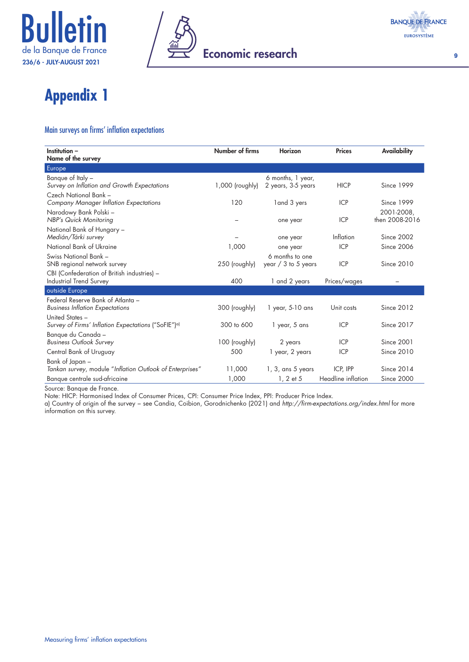



# **Appendix 1**

#### Main surveys on firms' inflation expectations

| Institution -                                                   | Number of firms   | <b>Horizon</b>        | <b>Prices</b>      | Availability      |
|-----------------------------------------------------------------|-------------------|-----------------------|--------------------|-------------------|
| Name of the survey                                              |                   |                       |                    |                   |
| Europe                                                          |                   |                       |                    |                   |
| Banque of Italy -                                               |                   | 6 months, 1 year,     |                    |                   |
| Survey on Inflation and Growth Expectations                     | $1,000$ (roughly) | 2 years, 3-5 years    | <b>HICP</b>        | Since 1999        |
| Czech National Bank -                                           |                   |                       |                    |                   |
| Company Manager Inflation Expectations                          | 120               | land 3 yers           | <b>ICP</b>         | <b>Since 1999</b> |
| Narodowy Bank Polski –                                          |                   |                       |                    | 2001-2008,        |
| <b>NBP's Quick Monitoring</b>                                   |                   | one year              | <b>ICP</b>         | then 2008-2016    |
| National Bank of Hungary -                                      |                   |                       |                    |                   |
| Medián/Tárki survey                                             |                   | one year              | Inflation          | <b>Since 2002</b> |
| National Bank of Ukraine                                        | 1,000             | one year              | <b>ICP</b>         | <b>Since 2006</b> |
| Swiss National Bank -                                           |                   | 6 months to one       |                    |                   |
| SNB regional network survey                                     | 250 (roughly)     | year $/$ 3 to 5 years | <b>ICP</b>         | <b>Since 2010</b> |
| CBI (Confederation of British industries) -                     |                   |                       |                    |                   |
| <b>Industrial Trend Survey</b>                                  | 400               | 1 and 2 years         | Prices/wages       |                   |
| outside Europe                                                  |                   |                       |                    |                   |
| Federal Reserve Bank of Atlanta -                               |                   |                       |                    |                   |
| <b>Business Inflation Expectations</b>                          | 300 (roughly)     | $1$ year, 5-10 ans    | Unit costs         | <b>Since 2012</b> |
| United States -                                                 |                   |                       |                    |                   |
| Survey of Firms' Inflation Expectations ("SoFIE") <sup>a)</sup> | 300 to 600        | 1 year, 5 ans         | <b>ICP</b>         | <b>Since 2017</b> |
| Banque du Canada –                                              |                   |                       |                    |                   |
| <b>Business Outlook Survey</b>                                  | 100 (roughly)     | 2 years               | <b>ICP</b>         | <b>Since 2001</b> |
| Central Bank of Uruguay                                         | 500               | 1 year, 2 years       | <b>ICP</b>         | <b>Since 2010</b> |
| Bank of Japan –                                                 |                   |                       |                    |                   |
| Tankan survey, module "Inflation Outlook of Enterprises"        | 11,000            | $1, 3,$ ans 5 years   | ICP, IPP           | <b>Since 2014</b> |
| Banque centrale sud-africaine                                   | 1,000             | 1, 2 et 5             | Headline inflation | <b>Since 2000</b> |

Source: Banque de France.

Note: HICP: Harmonised Index of Consumer Prices, CPI: Consumer Price Index, PPI: Producer Price Index.

a) Country of origin of the survey − see Candia, Coibion, Gorodnichenko (2021) and *[http://firm‑expectations.org/index.html](http://firmexpectations.org/index.html)* for more information on this survey.